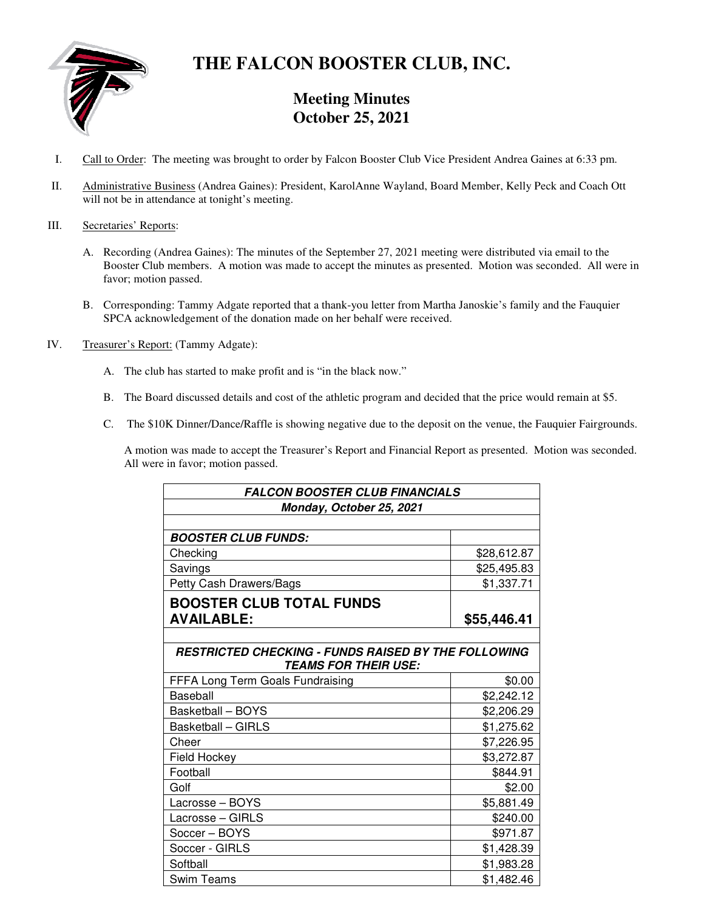

# **THE FALCON BOOSTER CLUB, INC.**

# **Meeting Minutes October 25, 2021**

- I. Call to Order: The meeting was brought to order by Falcon Booster Club Vice President Andrea Gaines at 6:33 pm.
- II. Administrative Business (Andrea Gaines): President, KarolAnne Wayland, Board Member, Kelly Peck and Coach Ott will not be in attendance at tonight's meeting.

## III. Secretaries' Reports:

- A. Recording (Andrea Gaines): The minutes of the September 27, 2021 meeting were distributed via email to the Booster Club members. A motion was made to accept the minutes as presented. Motion was seconded. All were in favor; motion passed.
- B. Corresponding: Tammy Adgate reported that a thank-you letter from Martha Janoskie's family and the Fauquier SPCA acknowledgement of the donation made on her behalf were received.
- IV. Treasurer's Report: (Tammy Adgate):
	- A. The club has started to make profit and is "in the black now."
	- B. The Board discussed details and cost of the athletic program and decided that the price would remain at \$5.
	- C. The \$10K Dinner/Dance/Raffle is showing negative due to the deposit on the venue, the Fauquier Fairgrounds.

A motion was made to accept the Treasurer's Report and Financial Report as presented. Motion was seconded. All were in favor; motion passed.

| <b>FALCON BOOSTER CLUB FINANCIALS</b>                      |             |
|------------------------------------------------------------|-------------|
| Monday, October 25, 2021                                   |             |
|                                                            |             |
| <b>BOOSTER CLUB FUNDS:</b>                                 |             |
| Checking                                                   | \$28,612.87 |
| Savings                                                    | \$25,495.83 |
| Petty Cash Drawers/Bags                                    | \$1,337.71  |
| <b>BOOSTER CLUB TOTAL FUNDS</b>                            |             |
| <b>AVAILABLE:</b>                                          | \$55,446.41 |
|                                                            |             |
| <b>RESTRICTED CHECKING - FUNDS RAISED BY THE FOLLOWING</b> |             |
| <b>TEAMS FOR THEIR USE:</b>                                |             |
| FFFA Long Term Goals Fundraising                           | \$0.00      |
| Baseball                                                   | \$2,242.12  |
| Basketball - BOYS                                          | \$2,206.29  |
| <b>Basketball - GIRLS</b>                                  | \$1,275.62  |
| Cheer                                                      | \$7,226.95  |
| Field Hockey                                               | \$3,272.87  |
| Football                                                   | \$844.91    |
| Golf                                                       | \$2.00      |
| Lacrosse - BOYS                                            | \$5,881.49  |
| Lacrosse - GIRLS                                           | \$240.00    |
| Soccer - BOYS                                              | \$971.87    |
| Soccer - GIRLS                                             | \$1,428.39  |
| Softball                                                   | \$1,983.28  |
| Swim Teams                                                 | \$1,482.46  |